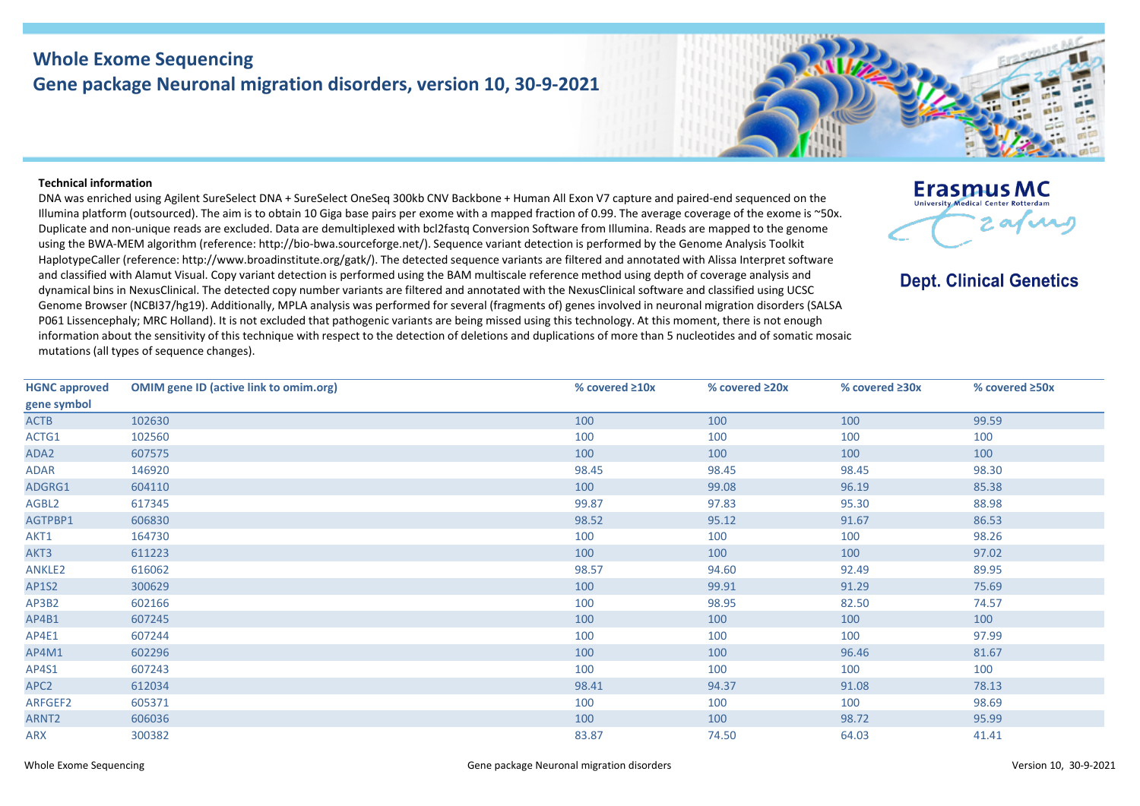## **Whole Exome Sequencing Gene package Neuronal migration disorders, version 10, 30-9-2021**

## **Technical information**

DNA was enriched using Agilent SureSelect DNA + SureSelect OneSeq 300kb CNV Backbone + Human All Exon V7 capture and paired-end sequenced on the Illumina platform (outsourced). The aim is to obtain 10 Giga base pairs per exome with a mapped fraction of 0.99. The average coverage of the exome is ~50x. Duplicate and non-unique reads are excluded. Data are demultiplexed with bcl2fastq Conversion Software from Illumina. Reads are mapped to the genome using the BWA-MEM algorithm (reference: http://bio-bwa.sourceforge.net/). Sequence variant detection is performed by the Genome Analysis Toolkit HaplotypeCaller (reference: http://www.broadinstitute.org/gatk/). The detected sequence variants are filtered and annotated with Alissa Interpret software and classified with Alamut Visual. Copy variant detection is performed using the BAM multiscale reference method using depth of coverage analysis and dynamical bins in NexusClinical. The detected copy number variants are filtered and annotated with the NexusClinical software and classified using UCSC Genome Browser (NCBI37/hg19). Additionally, MPLA analysis was performed for several (fragments of) genes involved in neuronal migration disorders (SALSA P061 Lissencephaly; MRC Holland). It is not excluded that pathogenic variants are being missed using this technology. At this moment, there is not enough information about the sensitivity of this technique with respect to the detection of deletions and duplications of more than 5 nucleotides and of somatic mosaic mutations (all types of sequence changes).

| <b>HGNC approved</b> | <b>OMIM gene ID (active link to omim.org)</b> | % covered $\geq 10x$ | % covered ≥20x | % covered $\geq 30x$ | % covered ≥50x |
|----------------------|-----------------------------------------------|----------------------|----------------|----------------------|----------------|
| gene symbol          |                                               |                      |                |                      |                |
| ACTB                 | 102630                                        | 100                  | 100            | 100                  | 99.59          |
| ACTG1                | 102560                                        | 100                  | 100            | 100                  | 100            |
| ADA2                 | 607575                                        | 100                  | 100            | 100                  | 100            |
| ADAR                 | 146920                                        | 98.45                | 98.45          | 98.45                | 98.30          |
| ADGRG1               | 604110                                        | 100                  | 99.08          | 96.19                | 85.38          |
| AGBL2                | 617345                                        | 99.87                | 97.83          | 95.30                | 88.98          |
| AGTPBP1              | 606830                                        | 98.52                | 95.12          | 91.67                | 86.53          |
| AKT1                 | 164730                                        | 100                  | 100            | 100                  | 98.26          |
| AKT3                 | 611223                                        | 100                  | 100            | 100                  | 97.02          |
| <b>ANKLE2</b>        | 616062                                        | 98.57                | 94.60          | 92.49                | 89.95          |
| AP1S2                | 300629                                        | 100                  | 99.91          | 91.29                | 75.69          |
| AP3B2                | 602166                                        | 100                  | 98.95          | 82.50                | 74.57          |
| AP4B1                | 607245                                        | 100                  | 100            | 100                  | 100            |
| AP4E1                | 607244                                        | 100                  | 100            | 100                  | 97.99          |
| AP4M1                | 602296                                        | 100                  | 100            | 96.46                | 81.67          |
| AP4S1                | 607243                                        | 100                  | 100            | 100                  | 100            |
| APC <sub>2</sub>     | 612034                                        | 98.41                | 94.37          | 91.08                | 78.13          |
| ARFGEF2              | 605371                                        | 100                  | 100            | 100                  | 98.69          |
| ARNT2                | 606036                                        | 100                  | 100            | 98.72                | 95.99          |
| ARX                  | 300382                                        | 83.87                | 74.50          | 64.03                | 41.41          |

**Erasmus MC** 

**Dept. Clinical Genetics**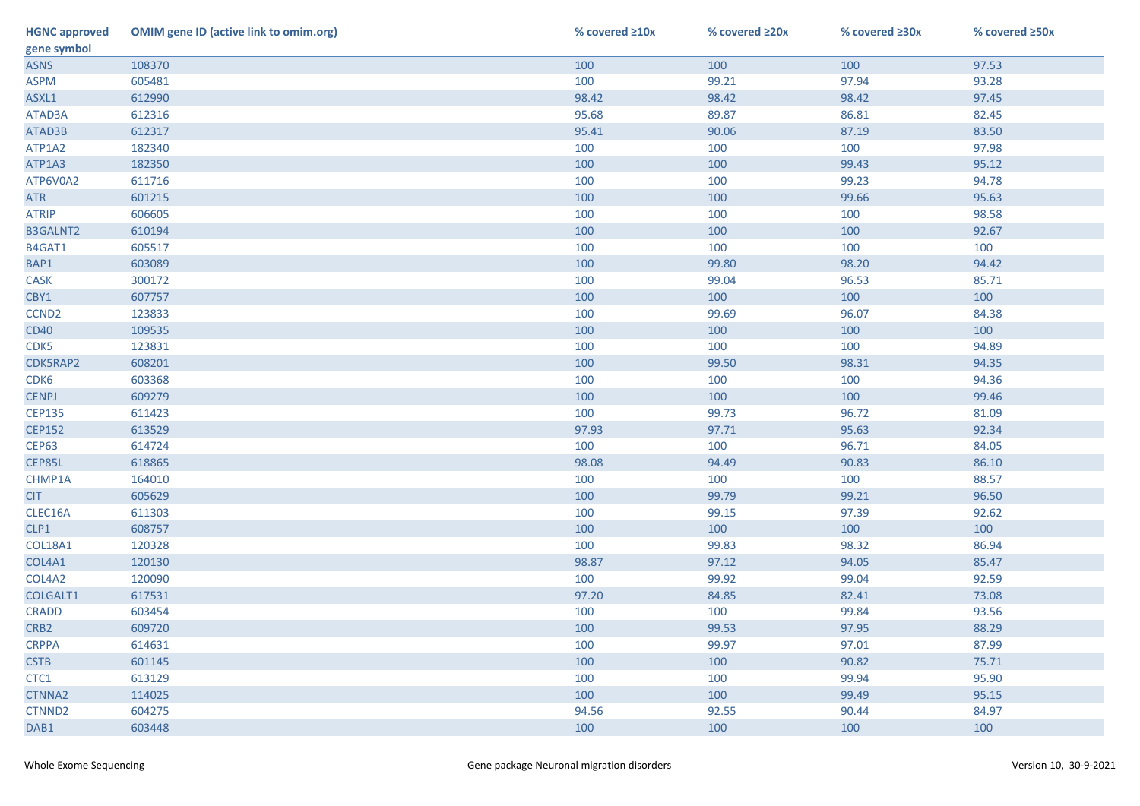| <b>HGNC approved</b> | <b>OMIM gene ID (active link to omim.org)</b> | % covered ≥10x | % covered ≥20x | % covered ≥30x | % covered ≥50x |
|----------------------|-----------------------------------------------|----------------|----------------|----------------|----------------|
| gene symbol          |                                               |                |                |                |                |
| <b>ASNS</b>          | 108370                                        | 100            | 100            | 100            | 97.53          |
| <b>ASPM</b>          | 605481                                        | 100            | 99.21          | 97.94          | 93.28          |
| ASXL1                | 612990                                        | 98.42          | 98.42          | 98.42          | 97.45          |
| ATAD3A               | 612316                                        | 95.68          | 89.87          | 86.81          | 82.45          |
| ATAD3B               | 612317                                        | 95.41          | 90.06          | 87.19          | 83.50          |
| ATP1A2               | 182340                                        | 100            | 100            | 100            | 97.98          |
| ATP1A3               | 182350                                        | 100            | 100            | 99.43          | 95.12          |
| ATP6V0A2             | 611716                                        | 100            | 100            | 99.23          | 94.78          |
| <b>ATR</b>           | 601215                                        | 100            | 100            | 99.66          | 95.63          |
| <b>ATRIP</b>         | 606605                                        | 100            | 100            | 100            | 98.58          |
| <b>B3GALNT2</b>      | 610194                                        | 100            | 100            | 100            | 92.67          |
| B4GAT1               | 605517                                        | 100            | 100            | 100            | 100            |
| BAP1                 | 603089                                        | 100            | 99.80          | 98.20          | 94.42          |
| CASK                 | 300172                                        | 100            | 99.04          | 96.53          | 85.71          |
| CBY1                 | 607757                                        | 100            | 100            | 100            | 100            |
| CCND <sub>2</sub>    | 123833                                        | 100            | 99.69          | 96.07          | 84.38          |
| <b>CD40</b>          | 109535                                        | 100            | 100            | 100            | 100            |
| CDK5                 | 123831                                        | 100            | 100            | 100            | 94.89          |
| CDK5RAP2             | 608201                                        | 100            | 99.50          | 98.31          | 94.35          |
| CDK6                 | 603368                                        | 100            | 100            | 100            | 94.36          |
| <b>CENPJ</b>         | 609279                                        | 100            | 100            | 100            | 99.46          |
| <b>CEP135</b>        | 611423                                        | 100            | 99.73          | 96.72          | 81.09          |
| <b>CEP152</b>        | 613529                                        | 97.93          | 97.71          | 95.63          | 92.34          |
| CEP63                | 614724                                        | 100            | 100            | 96.71          | 84.05          |
| CEP85L               | 618865                                        | 98.08          | 94.49          | 90.83          | 86.10          |
| CHMP1A               | 164010                                        | 100            | 100            | 100            | 88.57          |
| <b>CIT</b>           | 605629                                        | 100            | 99.79          | 99.21          | 96.50          |
| CLEC16A              | 611303                                        | 100            | 99.15          | 97.39          | 92.62          |
| CLP1                 | 608757                                        | 100            | 100            | 100            | 100            |
| COL18A1              | 120328                                        | 100            | 99.83          | 98.32          | 86.94          |
| COL4A1               | 120130                                        | 98.87          | 97.12          | 94.05          | 85.47          |
| COL4A2               | 120090                                        | 100            | 99.92          | 99.04          | 92.59          |
| COLGALT1             | 617531                                        | 97.20          | 84.85          | 82.41          | 73.08          |
| <b>CRADD</b>         | 603454                                        | 100            | 100            | 99.84          | 93.56          |
| CRB <sub>2</sub>     | 609720                                        | 100            | 99.53          | 97.95          | 88.29          |
| <b>CRPPA</b>         | 614631                                        | 100            | 99.97          | 97.01          | 87.99          |
| <b>CSTB</b>          | 601145                                        | 100            | 100            | 90.82          | 75.71          |
| CTC1                 | 613129                                        | 100            | 100            | 99.94          | 95.90          |
| <b>CTNNA2</b>        | 114025                                        | 100            | 100            | 99.49          | 95.15          |
| CTNND2               | 604275                                        | 94.56          | 92.55          | 90.44          | 84.97          |
| DAB1                 | 603448                                        | 100            | 100            | 100            | 100            |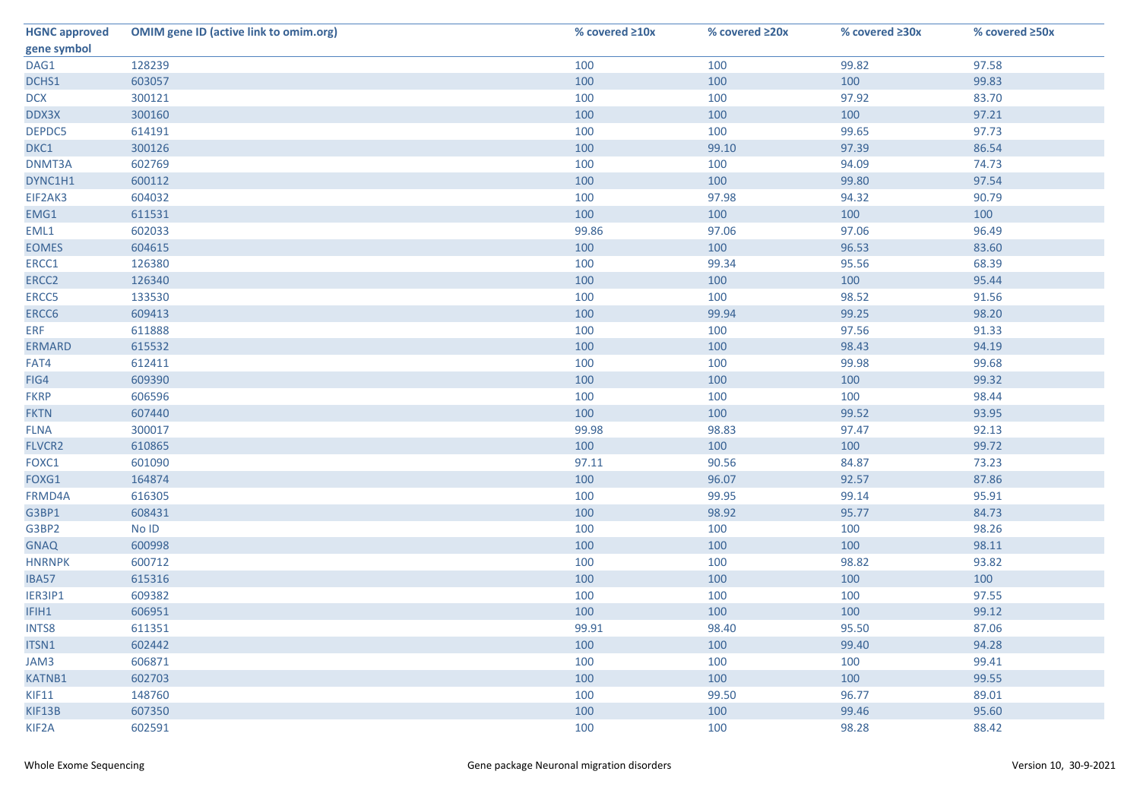| <b>HGNC approved</b> | <b>OMIM gene ID (active link to omim.org)</b> | % covered ≥10x | % covered ≥20x | % covered ≥30x | % covered ≥50x |
|----------------------|-----------------------------------------------|----------------|----------------|----------------|----------------|
| gene symbol          |                                               |                |                |                |                |
| DAG1                 | 128239                                        | 100            | 100            | 99.82          | 97.58          |
| DCHS1                | 603057                                        | 100            | 100            | 100            | 99.83          |
| <b>DCX</b>           | 300121                                        | 100            | 100            | 97.92          | 83.70          |
| DDX3X                | 300160                                        | 100            | 100            | 100            | 97.21          |
| DEPDC5               | 614191                                        | 100            | 100            | 99.65          | 97.73          |
| DKC1                 | 300126                                        | 100            | 99.10          | 97.39          | 86.54          |
| DNMT3A               | 602769                                        | 100            | 100            | 94.09          | 74.73          |
| DYNC1H1              | 600112                                        | 100            | 100            | 99.80          | 97.54          |
| EIF2AK3              | 604032                                        | 100            | 97.98          | 94.32          | 90.79          |
| EMG1                 | 611531                                        | 100            | 100            | 100            | 100            |
| EML1                 | 602033                                        | 99.86          | 97.06          | 97.06          | 96.49          |
| <b>EOMES</b>         | 604615                                        | 100            | 100            | 96.53          | 83.60          |
| ERCC1                | 126380                                        | 100            | 99.34          | 95.56          | 68.39          |
| ERCC <sub>2</sub>    | 126340                                        | 100            | 100            | 100            | 95.44          |
| ERCC5                | 133530                                        | 100            | 100            | 98.52          | 91.56          |
| ERCC6                | 609413                                        | 100            | 99.94          | 99.25          | 98.20          |
| <b>ERF</b>           | 611888                                        | 100            | 100            | 97.56          | 91.33          |
| <b>ERMARD</b>        | 615532                                        | 100            | 100            | 98.43          | 94.19          |
| FAT4                 | 612411                                        | 100            | 100            | 99.98          | 99.68          |
| FIG4                 | 609390                                        | 100            | 100            | 100            | 99.32          |
| <b>FKRP</b>          | 606596                                        | 100            | 100            | 100            | 98.44          |
| <b>FKTN</b>          | 607440                                        | 100            | 100            | 99.52          | 93.95          |
| <b>FLNA</b>          | 300017                                        | 99.98          | 98.83          | 97.47          | 92.13          |
| FLVCR2               | 610865                                        | 100            | 100            | 100            | 99.72          |
| FOXC1                | 601090                                        | 97.11          | 90.56          | 84.87          | 73.23          |
| FOXG1                | 164874                                        | 100            | 96.07          | 92.57          | 87.86          |
| FRMD4A               | 616305                                        | 100            | 99.95          | 99.14          | 95.91          |
| G3BP1                | 608431                                        | 100            | 98.92          | 95.77          | 84.73          |
| G3BP2                | No ID                                         | 100            | 100            | 100            | 98.26          |
| <b>GNAQ</b>          | 600998                                        | 100            | 100            | 100            | 98.11          |
| <b>HNRNPK</b>        | 600712                                        | 100            | 100            | 98.82          | 93.82          |
| IBA57                | 615316                                        | 100            | 100            | 100            | 100            |
| IER3IP1              | 609382                                        | 100            | 100            | 100            | 97.55          |
| IFIH1                | 606951                                        | 100            | 100            | 100            | 99.12          |
| <b>INTS8</b>         | 611351                                        | 99.91          | 98.40          | 95.50          | 87.06          |
| ITSN1                | 602442                                        | 100            | 100            | 99.40          | 94.28          |
| JAM3                 | 606871                                        | 100            | 100            | 100            | 99.41          |
| <b>KATNB1</b>        | 602703                                        | 100            | 100            | 100            | 99.55          |
| KIF11                | 148760                                        | 100            | 99.50          | 96.77          | 89.01          |
| KIF13B               | 607350                                        | 100            | 100            | 99.46          | 95.60          |
| KIF2A                | 602591                                        | 100            | 100            | 98.28          | 88.42          |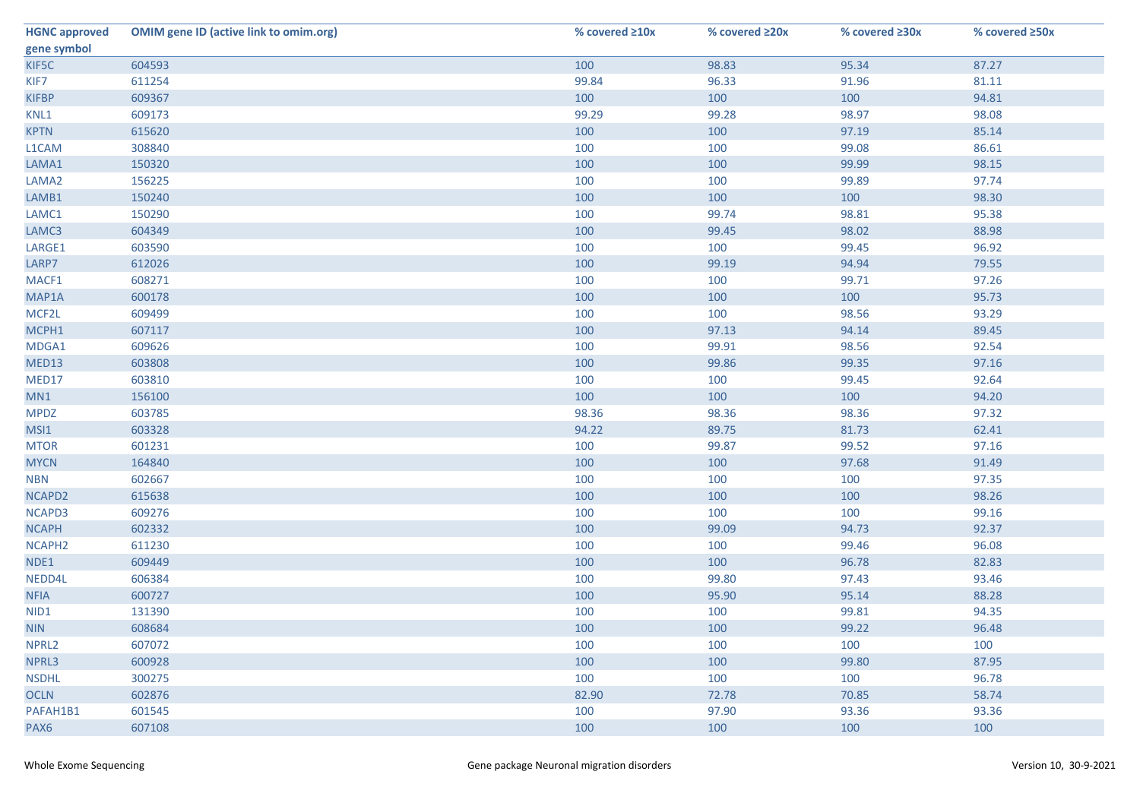| <b>HGNC approved</b> | <b>OMIM gene ID (active link to omim.org)</b> | % covered ≥10x | % covered ≥20x | % covered ≥30x | % covered ≥50x |
|----------------------|-----------------------------------------------|----------------|----------------|----------------|----------------|
| gene symbol          |                                               |                |                |                |                |
| KIF5C                | 604593                                        | 100            | 98.83          | 95.34          | 87.27          |
| KIF7                 | 611254                                        | 99.84          | 96.33          | 91.96          | 81.11          |
| <b>KIFBP</b>         | 609367                                        | 100            | 100            | 100            | 94.81          |
| KNL1                 | 609173                                        | 99.29          | 99.28          | 98.97          | 98.08          |
| <b>KPTN</b>          | 615620                                        | 100            | 100            | 97.19          | 85.14          |
| L1CAM                | 308840                                        | 100            | 100            | 99.08          | 86.61          |
| LAMA1                | 150320                                        | 100            | 100            | 99.99          | 98.15          |
| LAMA2                | 156225                                        | 100            | 100            | 99.89          | 97.74          |
| LAMB1                | 150240                                        | 100            | 100            | 100            | 98.30          |
| LAMC1                | 150290                                        | 100            | 99.74          | 98.81          | 95.38          |
| LAMC3                | 604349                                        | 100            | 99.45          | 98.02          | 88.98          |
| LARGE1               | 603590                                        | 100            | 100            | 99.45          | 96.92          |
| LARP7                | 612026                                        | 100            | 99.19          | 94.94          | 79.55          |
| MACF1                | 608271                                        | 100            | 100            | 99.71          | 97.26          |
| MAP1A                | 600178                                        | 100            | 100            | 100            | 95.73          |
| MCF2L                | 609499                                        | 100            | 100            | 98.56          | 93.29          |
| MCPH1                | 607117                                        | 100            | 97.13          | 94.14          | 89.45          |
| MDGA1                | 609626                                        | 100            | 99.91          | 98.56          | 92.54          |
| MED13                | 603808                                        | 100            | 99.86          | 99.35          | 97.16          |
| MED17                | 603810                                        | 100            | 100            | 99.45          | 92.64          |
| MN1                  | 156100                                        | 100            | 100            | 100            | 94.20          |
| <b>MPDZ</b>          | 603785                                        | 98.36          | 98.36          | 98.36          | 97.32          |
| MSI1                 | 603328                                        | 94.22          | 89.75          | 81.73          | 62.41          |
| <b>MTOR</b>          | 601231                                        | 100            | 99.87          | 99.52          | 97.16          |
| <b>MYCN</b>          | 164840                                        | 100            | 100            | 97.68          | 91.49          |
| <b>NBN</b>           | 602667                                        | 100            | 100            | 100            | 97.35          |
| NCAPD2               | 615638                                        | 100            | 100            | 100            | 98.26          |
| NCAPD3               | 609276                                        | 100            | 100            | 100            | 99.16          |
| <b>NCAPH</b>         | 602332                                        | 100            | 99.09          | 94.73          | 92.37          |
| NCAPH <sub>2</sub>   | 611230                                        | 100            | 100            | 99.46          | 96.08          |
| NDE1                 | 609449                                        | 100            | 100            | 96.78          | 82.83          |
| NEDD4L               | 606384                                        | 100            | 99.80          | 97.43          | 93.46          |
| <b>NFIA</b>          | 600727                                        | 100            | 95.90          | 95.14          | 88.28          |
| NID1                 | 131390                                        | 100            | 100            | 99.81          | 94.35          |
| <b>NIN</b>           | 608684                                        | 100            | 100            | 99.22          | 96.48          |
| NPRL2                | 607072                                        | 100            | 100            | 100            | 100            |
| NPRL3                | 600928                                        | 100            | 100            | 99.80          | 87.95          |
| <b>NSDHL</b>         | 300275                                        | 100            | 100            | 100            | 96.78          |
| <b>OCLN</b>          | 602876                                        | 82.90          | 72.78          | 70.85          | 58.74          |
| PAFAH1B1             | 601545                                        | 100            | 97.90          | 93.36          | 93.36          |
| PAX6                 | 607108                                        | 100            | 100            | 100            | 100            |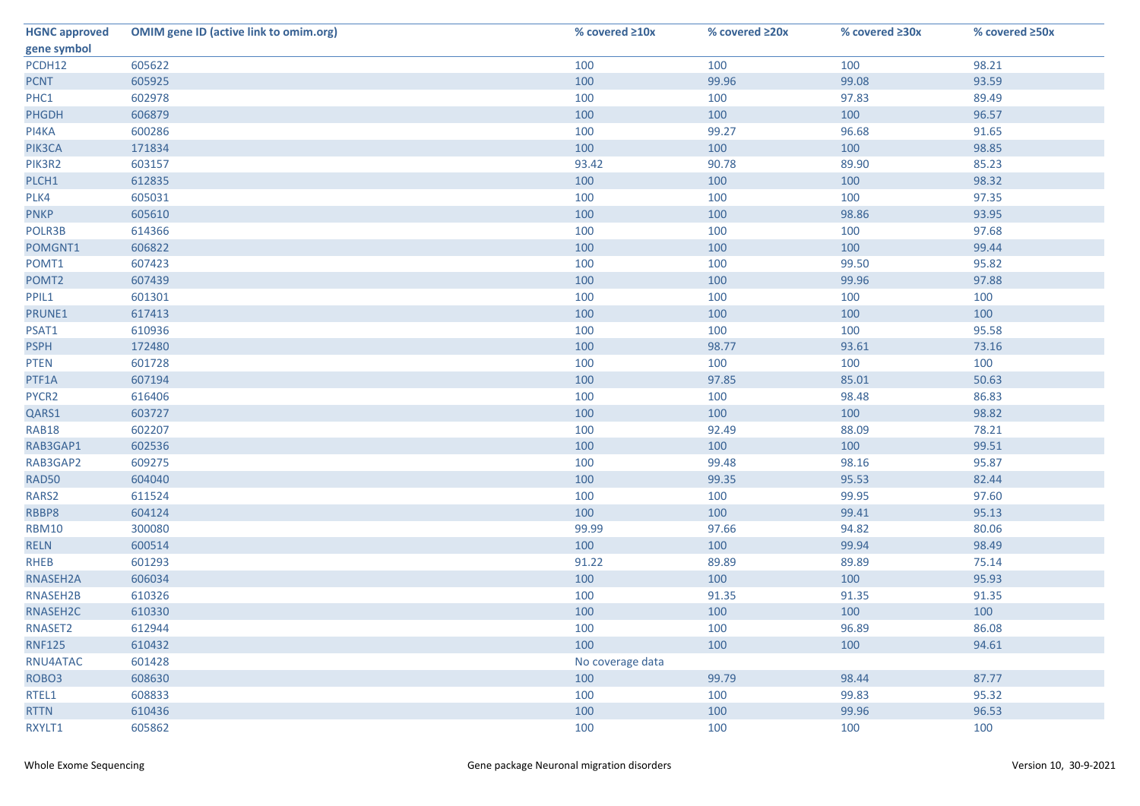| <b>HGNC approved</b> | <b>OMIM gene ID (active link to omim.org)</b> | % covered ≥10x   | % covered ≥20x | % covered ≥30x | % covered ≥50x |
|----------------------|-----------------------------------------------|------------------|----------------|----------------|----------------|
| gene symbol          |                                               |                  |                |                |                |
| PCDH12               | 605622                                        | 100              | 100            | 100            | 98.21          |
| <b>PCNT</b>          | 605925                                        | 100              | 99.96          | 99.08          | 93.59          |
| PHC1                 | 602978                                        | 100              | 100            | 97.83          | 89.49          |
| PHGDH                | 606879                                        | 100              | 100            | 100            | 96.57          |
| PI4KA                | 600286                                        | 100              | 99.27          | 96.68          | 91.65          |
| PIK3CA               | 171834                                        | 100              | 100            | 100            | 98.85          |
| PIK3R2               | 603157                                        | 93.42            | 90.78          | 89.90          | 85.23          |
| PLCH1                | 612835                                        | 100              | 100            | 100            | 98.32          |
| PLK4                 | 605031                                        | 100              | 100            | 100            | 97.35          |
| <b>PNKP</b>          | 605610                                        | 100              | 100            | 98.86          | 93.95          |
| POLR3B               | 614366                                        | 100              | 100            | 100            | 97.68          |
| POMGNT1              | 606822                                        | 100              | 100            | 100            | 99.44          |
| POMT1                | 607423                                        | 100              | 100            | 99.50          | 95.82          |
| POMT2                | 607439                                        | 100              | 100            | 99.96          | 97.88          |
| PPIL1                | 601301                                        | 100              | 100            | 100            | 100            |
| PRUNE1               | 617413                                        | 100              | 100            | 100            | 100            |
| PSAT1                | 610936                                        | 100              | 100            | 100            | 95.58          |
| <b>PSPH</b>          | 172480                                        | 100              | 98.77          | 93.61          | 73.16          |
| <b>PTEN</b>          | 601728                                        | 100              | 100            | 100            | 100            |
| PTF1A                | 607194                                        | 100              | 97.85          | 85.01          | 50.63          |
| PYCR2                | 616406                                        | 100              | 100            | 98.48          | 86.83          |
| QARS1                | 603727                                        | 100              | 100            | 100            | 98.82          |
| <b>RAB18</b>         | 602207                                        | 100              | 92.49          | 88.09          | 78.21          |
| RAB3GAP1             | 602536                                        | 100              | 100            | 100            | 99.51          |
| RAB3GAP2             | 609275                                        | 100              | 99.48          | 98.16          | 95.87          |
| <b>RAD50</b>         | 604040                                        | 100              | 99.35          | 95.53          | 82.44          |
| RARS2                | 611524                                        | 100              | 100            | 99.95          | 97.60          |
| RBBP8                | 604124                                        | 100              | 100            | 99.41          | 95.13          |
| <b>RBM10</b>         | 300080                                        | 99.99            | 97.66          | 94.82          | 80.06          |
| <b>RELN</b>          | 600514                                        | 100              | 100            | 99.94          | 98.49          |
| <b>RHEB</b>          | 601293                                        | 91.22            | 89.89          | 89.89          | 75.14          |
| RNASEH2A             | 606034                                        | 100              | 100            | 100            | 95.93          |
| RNASEH2B             | 610326                                        | 100              | 91.35          | 91.35          | 91.35          |
| RNASEH2C             | 610330                                        | 100              | 100            | 100            | 100            |
| RNASET2              | 612944                                        | 100              | 100            | 96.89          | 86.08          |
| <b>RNF125</b>        | 610432                                        | 100              | 100            | 100            | 94.61          |
| RNU4ATAC             | 601428                                        | No coverage data |                |                |                |
| ROBO <sub>3</sub>    | 608630                                        | 100              | 99.79          | 98.44          | 87.77          |
| RTEL1                | 608833                                        | 100              | 100            | 99.83          | 95.32          |
| <b>RTTN</b>          | 610436                                        | 100              | 100            | 99.96          | 96.53          |
| RXYLT1               | 605862                                        | 100              | 100            | 100            | 100            |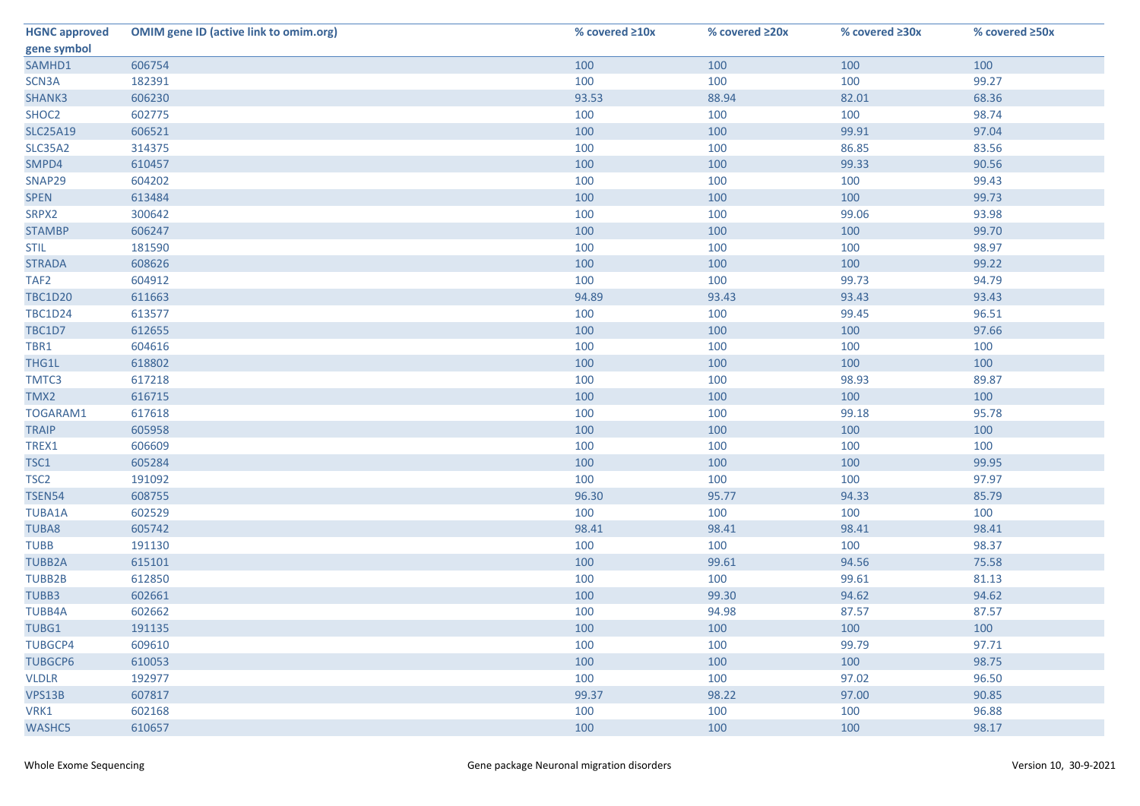| <b>HGNC approved</b> | <b>OMIM gene ID (active link to omim.org)</b> | % covered ≥10x | % covered ≥20x | % covered ≥30x | % covered ≥50x |
|----------------------|-----------------------------------------------|----------------|----------------|----------------|----------------|
| gene symbol          |                                               |                |                |                |                |
| SAMHD1               | 606754                                        | 100            | 100            | 100            | 100            |
| SCN3A                | 182391                                        | 100            | 100            | 100            | 99.27          |
| SHANK3               | 606230                                        | 93.53          | 88.94          | 82.01          | 68.36          |
| SHOC2                | 602775                                        | 100            | 100            | 100            | 98.74          |
| <b>SLC25A19</b>      | 606521                                        | 100            | 100            | 99.91          | 97.04          |
| <b>SLC35A2</b>       | 314375                                        | 100            | 100            | 86.85          | 83.56          |
| SMPD4                | 610457                                        | 100            | 100            | 99.33          | 90.56          |
| SNAP29               | 604202                                        | 100            | 100            | 100            | 99.43          |
| <b>SPEN</b>          | 613484                                        | 100            | 100            | 100            | 99.73          |
| SRPX2                | 300642                                        | 100            | 100            | 99.06          | 93.98          |
| <b>STAMBP</b>        | 606247                                        | 100            | 100            | 100            | 99.70          |
| <b>STIL</b>          | 181590                                        | 100            | 100            | 100            | 98.97          |
| <b>STRADA</b>        | 608626                                        | 100            | 100            | 100            | 99.22          |
| TAF <sub>2</sub>     | 604912                                        | 100            | 100            | 99.73          | 94.79          |
| <b>TBC1D20</b>       | 611663                                        | 94.89          | 93.43          | 93.43          | 93.43          |
| <b>TBC1D24</b>       | 613577                                        | 100            | 100            | 99.45          | 96.51          |
| TBC1D7               | 612655                                        | 100            | 100            | 100            | 97.66          |
| TBR1                 | 604616                                        | 100            | 100            | 100            | 100            |
| THG1L                | 618802                                        | 100            | 100            | 100            | 100            |
| TMTC3                | 617218                                        | 100            | 100            | 98.93          | 89.87          |
| TMX2                 | 616715                                        | 100            | 100            | 100            | 100            |
| TOGARAM1             | 617618                                        | 100            | 100            | 99.18          | 95.78          |
| <b>TRAIP</b>         | 605958                                        | 100            | 100            | 100            | 100            |
| TREX1                | 606609                                        | 100            | 100            | 100            | 100            |
| TSC1                 | 605284                                        | 100            | 100            | 100            | 99.95          |
| TSC <sub>2</sub>     | 191092                                        | 100            | 100            | 100            | 97.97          |
| <b>TSEN54</b>        | 608755                                        | 96.30          | 95.77          | 94.33          | 85.79          |
| TUBA1A               | 602529                                        | 100            | 100            | 100            | 100            |
| <b>TUBA8</b>         | 605742                                        | 98.41          | 98.41          | 98.41          | 98.41          |
| <b>TUBB</b>          | 191130                                        | 100            | 100            | 100            | 98.37          |
| <b>TUBB2A</b>        | 615101                                        | 100            | 99.61          | 94.56          | 75.58          |
| <b>TUBB2B</b>        | 612850                                        | 100            | 100            | 99.61          | 81.13          |
| TUBB3                | 602661                                        | 100            | 99.30          | 94.62          | 94.62          |
| <b>TUBB4A</b>        | 602662                                        | 100            | 94.98          | 87.57          | 87.57          |
| TUBG1                | 191135                                        | 100            | 100            | 100            | 100            |
| <b>TUBGCP4</b>       | 609610                                        | 100            | 100            | 99.79          | 97.71          |
| <b>TUBGCP6</b>       | 610053                                        | 100            | 100            | 100            | 98.75          |
| <b>VLDLR</b>         | 192977                                        | 100            | 100            | 97.02          | 96.50          |
| VPS13B               | 607817                                        | 99.37          | 98.22          | 97.00          | 90.85          |
| VRK1                 | 602168                                        | 100            | 100            | 100            | 96.88          |
| <b>WASHC5</b>        | 610657                                        | 100            | 100            | 100            | 98.17          |